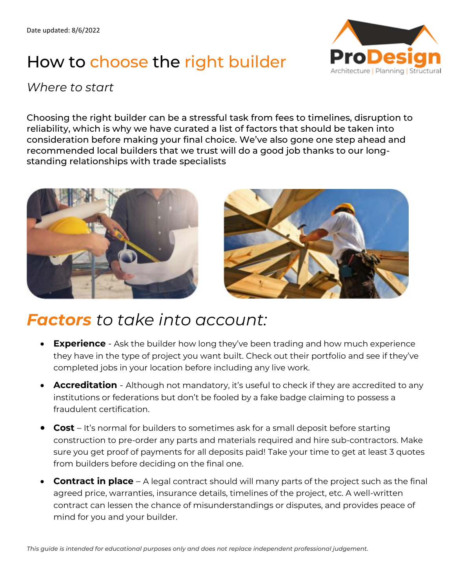## How to choose the right builder



### *Where to start*

Choosing the right builder can be a stressful task from fees to timelines, disruption to reliability, which is why we have curated a list of factors that should be taken into consideration before making your final choice. We've also gone one step ahead and recommended local builders that we trust will do a good job thanks to our longstanding relationships with trade specialists





### *Factors to take into account:*

- **Experience**  Ask the builder how long they've been trading and how much experience they have in the type of project you want built. Check out their portfolio and see if they've completed jobs in your location before including any live work.
- **Accreditation**  Although not mandatory, it's useful to check if they are accredited to any institutions or federations but don't be fooled by a fake badge claiming to possess a fraudulent certification.
- **Cost**  It's normal for builders to sometimes ask for a small deposit before starting construction to pre-order any parts and materials required and hire sub-contractors. Make sure you get proof of payments for all deposits paid! Take your time to get at least 3 quotes from builders before deciding on the final one.
- **Contract in place** A legal contract should will many parts of the project such as the final agreed price, warranties, insurance details, timelines of the project, etc. A well-written contract can lessen the chance of misunderstandings or disputes, and provides peace of mind for you and your builder.